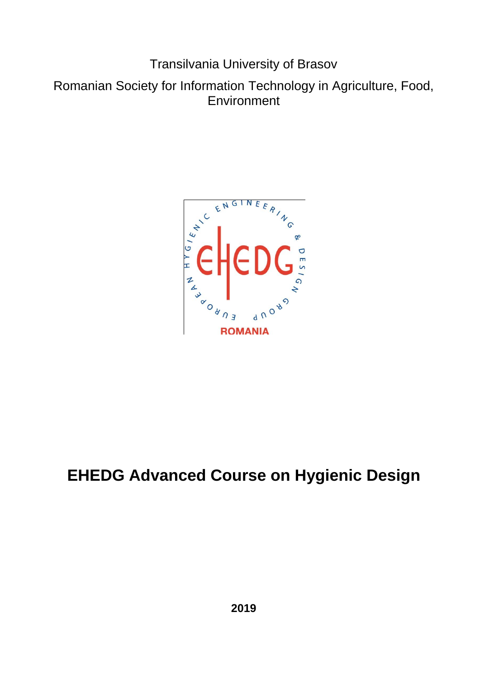Transilvania University of Brasov

Romanian Society for Information Technology in Agriculture, Food, **Environment** 



# **EHEDG Advanced Course on Hygienic Design**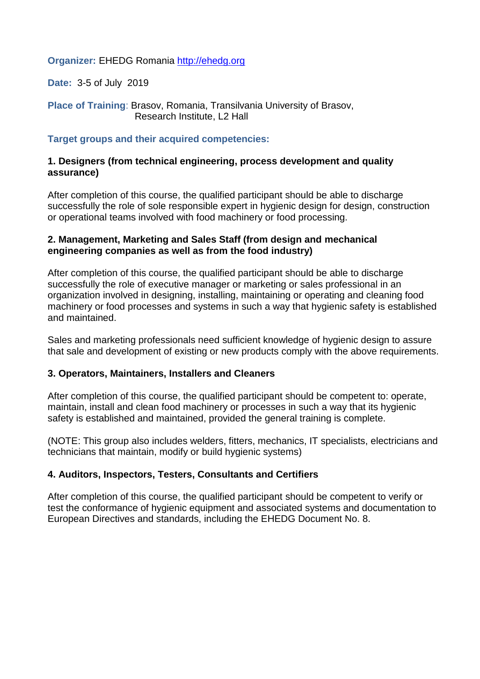**Organizer:** EHEDG Romania [http://ehedg.org](http://ehedg.org/) 

**Date:** 3-5 of July 2019

**Place of Training**: Brasov, Romania, Transilvania University of Brasov, Research Institute, L2 Hall

#### **Target groups and their acquired competencies:**

#### **1. Designers (from technical engineering, process development and quality assurance)**

After completion of this course, the qualified participant should be able to discharge successfully the role of sole responsible expert in hygienic design for design, construction or operational teams involved with food machinery or food processing.

#### **2. Management, Marketing and Sales Staff (from design and mechanical engineering companies as well as from the food industry)**

After completion of this course, the qualified participant should be able to discharge successfully the role of executive manager or marketing or sales professional in an organization involved in designing, installing, maintaining or operating and cleaning food machinery or food processes and systems in such a way that hygienic safety is established and maintained.

Sales and marketing professionals need sufficient knowledge of hygienic design to assure that sale and development of existing or new products comply with the above requirements.

#### **3. Operators, Maintainers, Installers and Cleaners**

After completion of this course, the qualified participant should be competent to: operate, maintain, install and clean food machinery or processes in such a way that its hygienic safety is established and maintained, provided the general training is complete.

(NOTE: This group also includes welders, fitters, mechanics, IT specialists, electricians and technicians that maintain, modify or build hygienic systems)

#### **4. Auditors, Inspectors, Testers, Consultants and Certifiers**

After completion of this course, the qualified participant should be competent to verify or test the conformance of hygienic equipment and associated systems and documentation to European Directives and standards, including the EHEDG Document No. 8.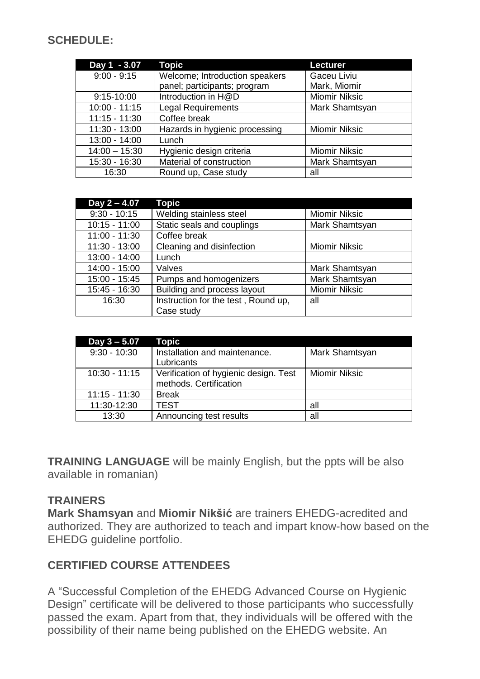## **SCHEDULE:**

| Day 1 - 3.07    | <b>Topic</b>                   | <b>Lecturer</b>      |
|-----------------|--------------------------------|----------------------|
| $9:00 - 9:15$   | Welcome; Introduction speakers | Gaceu Liviu          |
|                 | panel; participants; program   | Mark, Miomir         |
| 9:15-10:00      | Introduction in H@D            | <b>Miomir Niksic</b> |
| $10:00 - 11:15$ | <b>Legal Requirements</b>      | Mark Shamtsyan       |
| $11:15 - 11:30$ | Coffee break                   |                      |
| $11:30 - 13:00$ | Hazards in hygienic processing | <b>Miomir Niksic</b> |
| $13:00 - 14:00$ | Lunch                          |                      |
| $14:00 - 15:30$ | Hygienic design criteria       | <b>Miomir Niksic</b> |
| 15:30 - 16:30   | Material of construction       | Mark Shamtsyan       |
| 16:30           | Round up, Case study           | all                  |

| Day 2 - 4.07    | <b>Topic</b>                        |                      |
|-----------------|-------------------------------------|----------------------|
| $9:30 - 10:15$  | Welding stainless steel             | <b>Miomir Niksic</b> |
| $10:15 - 11:00$ | Static seals and couplings          | Mark Shamtsyan       |
| $11:00 - 11:30$ | Coffee break                        |                      |
| $11:30 - 13:00$ | Cleaning and disinfection           | <b>Miomir Niksic</b> |
| 13:00 - 14:00   | Lunch                               |                      |
| 14:00 - 15:00   | Valves                              | Mark Shamtsyan       |
| 15:00 - 15:45   | Pumps and homogenizers              | Mark Shamtsyan       |
| 15:45 - 16:30   | Building and process layout         | <b>Miomir Niksic</b> |
| 16:30           | Instruction for the test, Round up, | all                  |
|                 | Case study                          |                      |

| Day 3 - 5.07    | Topic                                 |                      |
|-----------------|---------------------------------------|----------------------|
| $9:30 - 10:30$  | Installation and maintenance.         | Mark Shamtsyan       |
|                 | Lubricants                            |                      |
| $10:30 - 11:15$ | Verification of hygienic design. Test | <b>Miomir Niksic</b> |
|                 | methods. Certification                |                      |
| $11:15 - 11:30$ | <b>Break</b>                          |                      |
| 11:30-12:30     | <b>TEST</b>                           | all                  |
| 13:30           | Announcing test results               | all                  |

**TRAINING LANGUAGE** will be mainly English, but the ppts will be also available in romanian)

### **TRAINERS**

**Mark Shamsyan** and **Miomir Nikšić** are trainers EHEDG-acredited and authorized. They are authorized to teach and impart know-how based on the EHEDG guideline portfolio.

## **CERTIFIED COURSE ATTENDEES**

A "Successful Completion of the EHEDG Advanced Course on Hygienic Design" certificate will be delivered to those participants who successfully passed the exam. Apart from that, they individuals will be offered with the possibility of their name being published on the EHEDG website. An